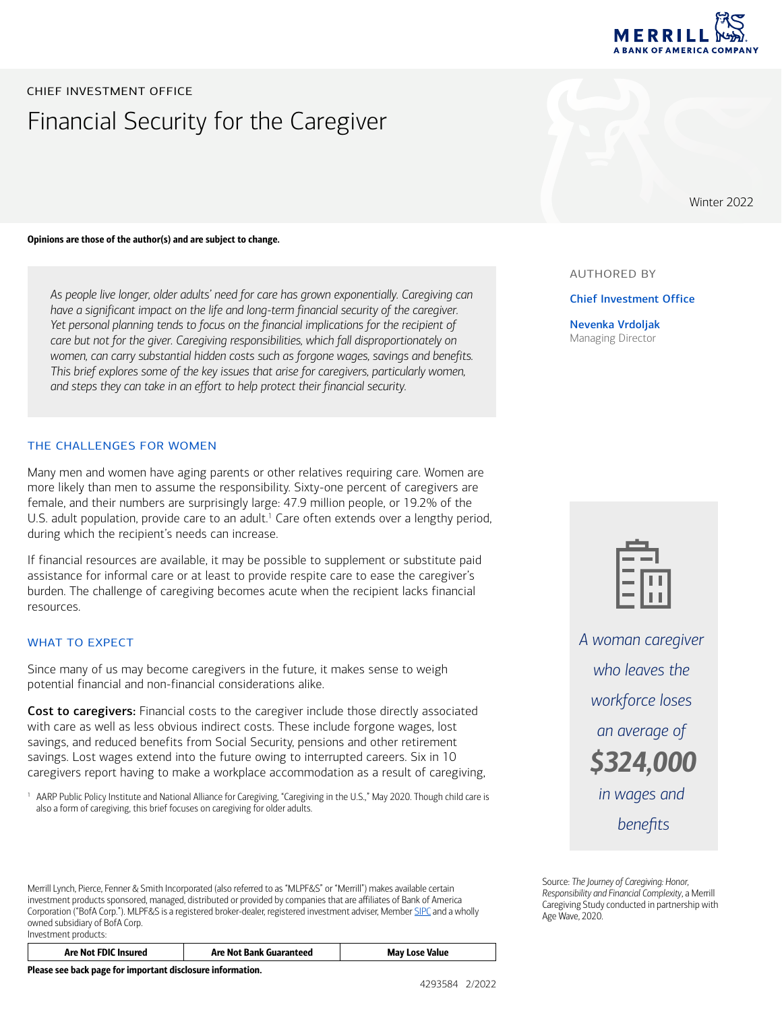

Winter 2022

# Financial Security for the Caregiver CHIEF INVESTMENT OFFICE

Opinions are those of the author(s) and are subject to change.

*As people live longer, older adults' need for care has grown exponentially. Caregiving can have a significant impact on the life and long-term financial security of the caregiver. Yet personal planning tends to focus on the financial implications for the recipient of care but not for the giver. Caregiving responsibilities, which fall disproportionately on women, can carry substantial hidden costs such as forgone wages, savings and benefits. This brief explores some of the key issues that arise for caregivers, particularly women, and steps they can take in an effort to help protect their financial security.* 

# THE CHALLENGES FOR WOMEN

<span id="page-0-1"></span>Many men and women have aging parents or other relatives requiring care. Women are more likely than men to assume the responsibility. Sixty-one percent of caregivers are female, and their numbers are surprisingly large: 47.9 million people, or 19.2% of the U.S. adult population, provide care to an adult.<sup>[1](#page-0-0)</sup> Care often extends over a lengthy period, during which the recipient's needs can increase.

If financial resources are available, it may be possible to supplement or substitute paid assistance for informal care or at least to provide respite care to ease the caregiver's burden. The challenge of caregiving becomes acute when the recipient lacks financial resources.

### WHAT TO EXPECT

Since many of us may become caregivers in the future, it makes sense to weigh potential financial and non-financial considerations alike.

Cost to caregivers: Financial costs to the caregiver include those directly associated with care as well as less obvious indirect costs. These include forgone wages, lost savings, and reduced benefits from Social Security, pensions and other retirement savings. Lost wages extend into the future owing to interrupted careers. Six in 10 caregivers report having to make a workplace accommodation as a result of caregiving,

<span id="page-0-0"></span><sup>[1](#page-0-1)</sup> AARP Public Policy Institute and National Alliance for Caregiving, "Caregiving in the U.S.," May 2020. Though child care is also a form of caregiving, this brief focuses on caregiving for older adults.

Merrill Lynch, Pierce, Fenner & Smith Incorporated (also referred to as "MLPF&S" or "Merrill") makes available certain investment products sponsored, managed, distributed or provided by companies that are affiliates of Bank of America Corporation ("BofA Corp."). MLPF&S is a registered broker-dealer, registered investment adviser, Member [SIPC](http://www.sipc.org) and a wholly owned subsidiary of BofA Corp. Investment products:

| <b>Are Not FDIC Insured</b> | <b>Are Not Bank Guaranteed</b> | <b>May Lose Value</b> |
|-----------------------------|--------------------------------|-----------------------|
|-----------------------------|--------------------------------|-----------------------|

Please see back page for important disclosure information.



Chief Investment Office

Nevenka Vrdoljak Managing Director



*A woman caregiver who leaves the workforce loses an average of \$324,000 in wages and benefits*

Source: *The Journey of Caregiving: Honor, Responsibility and Financial Complexity*, a Merrill Caregiving Study conducted in partnership with Age Wave, 2020.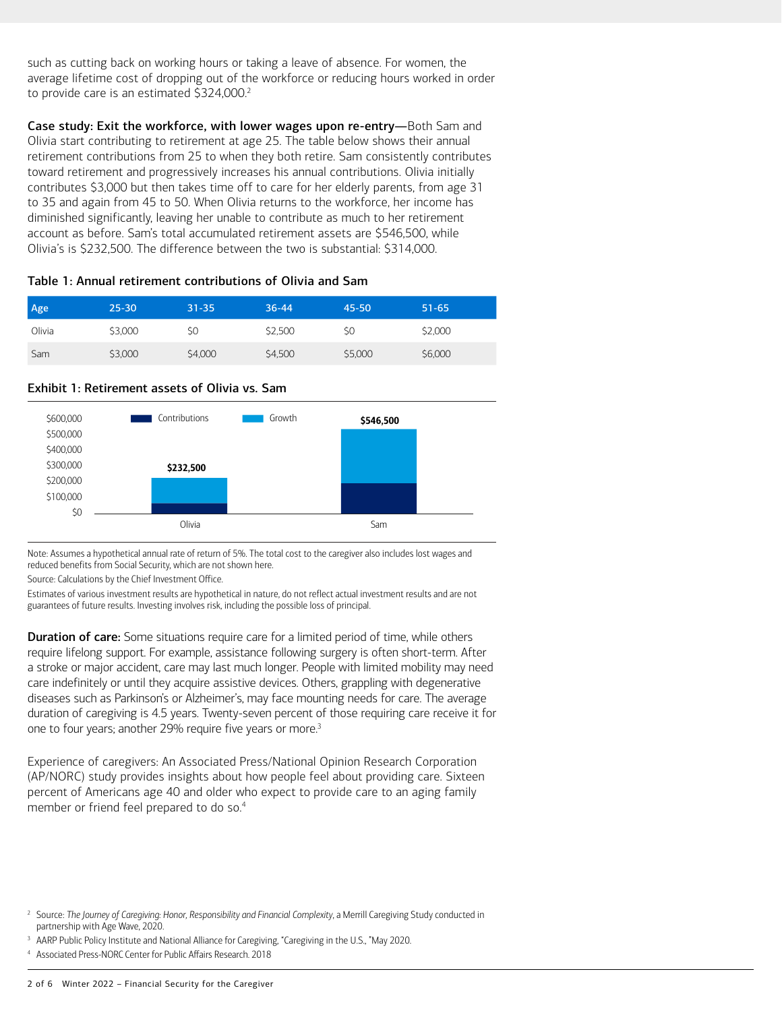<span id="page-1-1"></span>such as cutting back on working hours or taking a leave of absence. For women, the average lifetime cost of dropping out of the workforce or reducing hours worked in order to provide care is an estimated \$3[2](#page-1-0)4,000.<sup>2</sup>

Case study: Exit the workforce, with lower wages upon re-entry—Both Sam and Olivia start contributing to retirement at age 25. The table below shows their annual retirement contributions from 25 to when they both retire. Sam consistently contributes toward retirement and progressively increases his annual contributions. Olivia initially contributes \$3,000 but then takes time off to care for her elderly parents, from age 31 to 35 and again from 45 to 50. When Olivia returns to the workforce, her income has diminished significantly, leaving her unable to contribute as much to her retirement account as before. Sam's total accumulated retirement assets are \$546,500, while Olivia's is \$232,500. The difference between the two is substantial: \$314,000.

# Table 1: Annual retirement contributions of Olivia and Sam

| Age    | $25 - 30$ | $31 - 35$ | $36 - 44$ | 45-50   | $51 - 65$ |
|--------|-----------|-----------|-----------|---------|-----------|
| Olivia | \$3,000   | \$0       | \$2,500   | \$0     | \$2,000   |
| Sam    | \$3,000   | \$4,000   | \$4,500   | \$5,000 | \$6,000   |



# Exhibit 1: Retirement assets of Olivia vs. Sam

Note: Assumes a hypothetical annual rate of return of 5%. The total cost to the caregiver also includes lost wages and reduced benefits from Social Security, which are not shown here.

Source: Calculations by the Chief Investment Office.

Estimates of various investment results are hypothetical in nature, do not reflect actual investment results and are not guarantees of future results. Investing involves risk, including the possible loss of principal.

**Duration of care:** Some situations require care for a limited period of time, while others require lifelong support. For example, assistance following surgery is often short-term. After a stroke or major accident, care may last much longer. People with limited mobility may need care indefinitely or until they acquire assistive devices. Others, grappling with degenerative diseases such as Parkinson's or Alzheimer's, may face mounting needs for care. The average duration of caregiving is 4.5 years. Twenty-seven percent of those requiring care receive it for one to four years; another 29% require five years or more.<sup>[3](#page-1-2)</sup>

<span id="page-1-5"></span><span id="page-1-3"></span>Experience of caregivers: An Associated Press/National Opinion Research Corporation (AP/NORC) study provides insights about how people feel about providing care. Sixteen percent of Americans age 40 and older who expect to provide care to an aging family member or friend feel prepared to do so[.4](#page-1-4)

<span id="page-1-0"></span>[<sup>2</sup>](#page-1-1) Source: *The Journey of Caregiving: Honor, Responsibility and Financial Complexity*, a Merrill Caregiving Study conducted in partnership with Age Wave, 2020.

<span id="page-1-2"></span><sup>&</sup>lt;sup>[3](#page-1-3)</sup> AARP Public Policy Institute and National Alliance for Caregiving, "Caregiving in the U.S., "May 2020.

<span id="page-1-4"></span>[<sup>4</sup>](#page-1-5) Associated Press-NORC Center for Public Affairs Research. 2018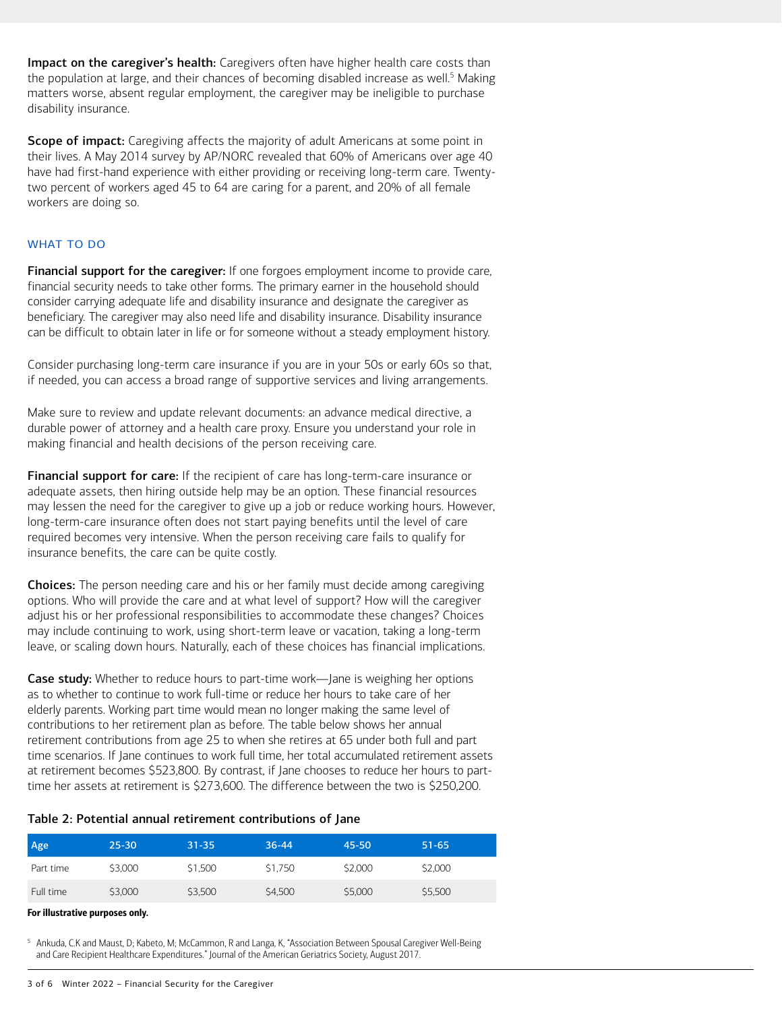<span id="page-2-1"></span>Impact on the caregiver's health: Caregivers often have higher health care costs than the population at large, and their chances of becoming disabled increase as well.<sup>[5](#page-2-0)</sup> Making matters worse, absent regular employment, the caregiver may be ineligible to purchase disability insurance.

Scope of impact: Caregiving affects the majority of adult Americans at some point in their lives. A May 2014 survey by AP/NORC revealed that 60% of Americans over age 40 have had first-hand experience with either providing or receiving long-term care. Twentytwo percent of workers aged 45 to 64 are caring for a parent, and 20% of all female workers are doing so.

# WHAT TO DO

Financial support for the caregiver: If one forgoes employment income to provide care, financial security needs to take other forms. The primary earner in the household should consider carrying adequate life and disability insurance and designate the caregiver as beneficiary. The caregiver may also need life and disability insurance. Disability insurance can be difficult to obtain later in life or for someone without a steady employment history.

Consider purchasing long-term care insurance if you are in your 50s or early 60s so that, if needed, you can access a broad range of supportive services and living arrangements.

Make sure to review and update relevant documents: an advance medical directive, a durable power of attorney and a health care proxy. Ensure you understand your role in making financial and health decisions of the person receiving care.

Financial support for care: If the recipient of care has long-term-care insurance or adequate assets, then hiring outside help may be an option. These financial resources may lessen the need for the caregiver to give up a job or reduce working hours. However, long-term-care insurance often does not start paying benefits until the level of care required becomes very intensive. When the person receiving care fails to qualify for insurance benefits, the care can be quite costly.

Choices: The person needing care and his or her family must decide among caregiving options. Who will provide the care and at what level of support? How will the caregiver adjust his or her professional responsibilities to accommodate these changes? Choices may include continuing to work, using short-term leave or vacation, taking a long-term leave, or scaling down hours. Naturally, each of these choices has financial implications.

**Case study:** Whether to reduce hours to part-time work—Jane is weighing her options as to whether to continue to work full-time or reduce her hours to take care of her elderly parents. Working part time would mean no longer making the same level of contributions to her retirement plan as before. The table below shows her annual retirement contributions from age 25 to when she retires at 65 under both full and part time scenarios. If Jane continues to work full time, her total accumulated retirement assets at retirement becomes \$523,800. By contrast, if Jane chooses to reduce her hours to parttime her assets at retirement is \$273,600. The difference between the two is \$250,200.

### Table 2: Potential annual retirement contributions of Jane

| Age       | $25 - 30$ | $31 - 35$ | $36 - 44$ | 45-50   | $51 - 65$ |
|-----------|-----------|-----------|-----------|---------|-----------|
| Part time | \$3,000   | \$1,500   | \$1,750   | \$2,000 | \$2,000   |
| Full time | \$3,000   | \$3,500   | \$4,500   | \$5,000 | \$5,500   |

#### For illustrative purposes only.

<span id="page-2-0"></span><sup>[5](#page-2-1)</sup> Ankuda, C.K and Maust, D; Kabeto, M; McCammon, R and Langa, K, "Association Between Spousal Caregiver Well-Being and Care Recipient Healthcare Expenditures." Journal of the American Geriatrics Society, August 2017.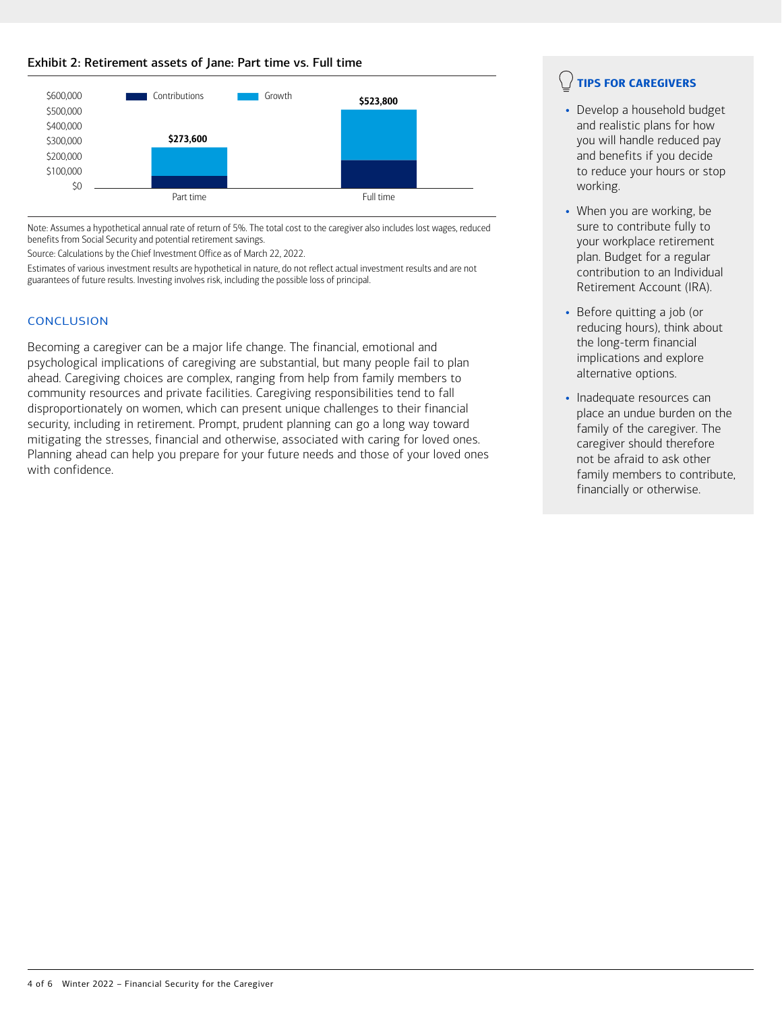# Exhibit 2: Retirement assets of Jane: Part time vs. Full time



Note: Assumes a hypothetical annual rate of return of 5%. The total cost to the caregiver also includes lost wages, reduced benefits from Social Security and potential retirement savings.

Source: Calculations by the Chief Investment Office as of March 22, 2022.

Estimates of various investment results are hypothetical in nature, do not reflect actual investment results and are not guarantees of future results. Investing involves risk, including the possible loss of principal.

# **CONCLUSION**

Becoming a caregiver can be a major life change. The financial, emotional and psychological implications of caregiving are substantial, but many people fail to plan ahead. Caregiving choices are complex, ranging from help from family members to community resources and private facilities. Caregiving responsibilities tend to fall disproportionately on women, which can present unique challenges to their financial security, including in retirement. Prompt, prudent planning can go a long way toward mitigating the stresses, financial and otherwise, associated with caring for loved ones. Planning ahead can help you prepare for your future needs and those of your loved ones with confidence.

# TIPS FOR CAREGIVERS

- Develop a household budget and realistic plans for how you will handle reduced pay and benefits if you decide to reduce your hours or stop working.
- When you are working, be sure to contribute fully to your workplace retirement plan. Budget for a regular contribution to an Individual Retirement Account (IRA).
- Before quitting a job (or reducing hours), think about the long-term financial implications and explore alternative options.
- Inadequate resources can place an undue burden on the family of the caregiver. The caregiver should therefore not be afraid to ask other family members to contribute, financially or otherwise.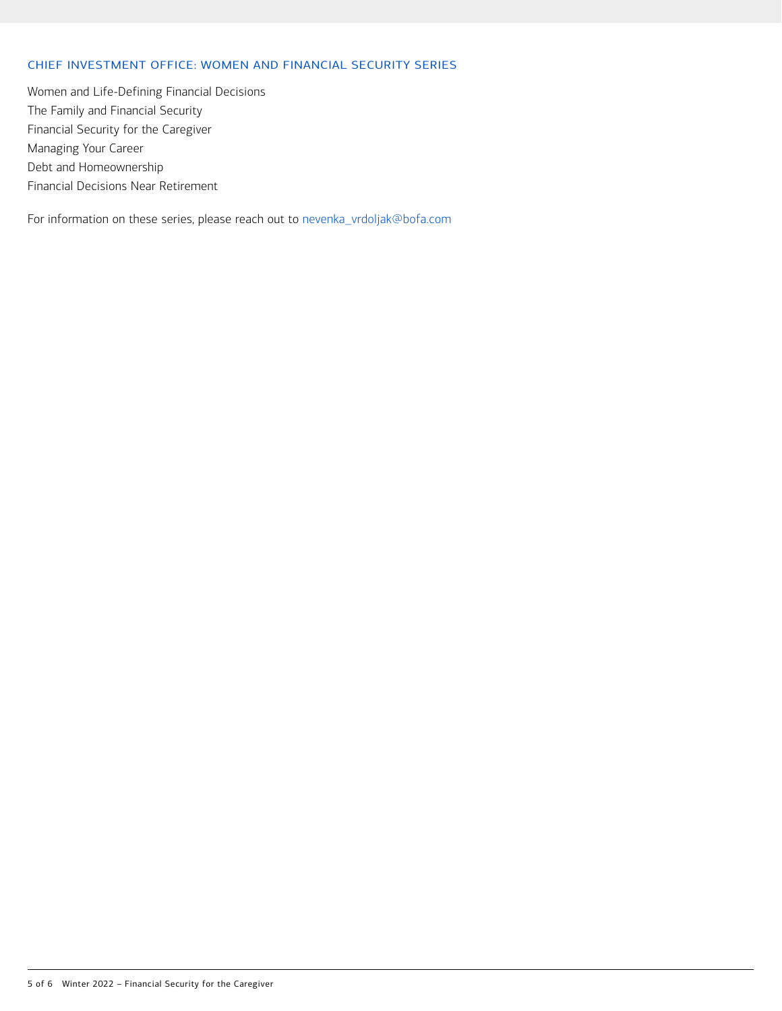# CHIEF INVESTMENT OFFICE: WOMEN AND FINANCIAL SECURITY SERIES

Women and Life-Defining Financial Decisions The Family and Financial Security Financial Security for the Caregiver Managing Your Career Debt and Homeownership Financial Decisions Near Retirement

For information on these series, please reach out to [nevenka\\_vrdoljak@bofa.com](mailto:nevenka_vrdoljak@bofa.com)